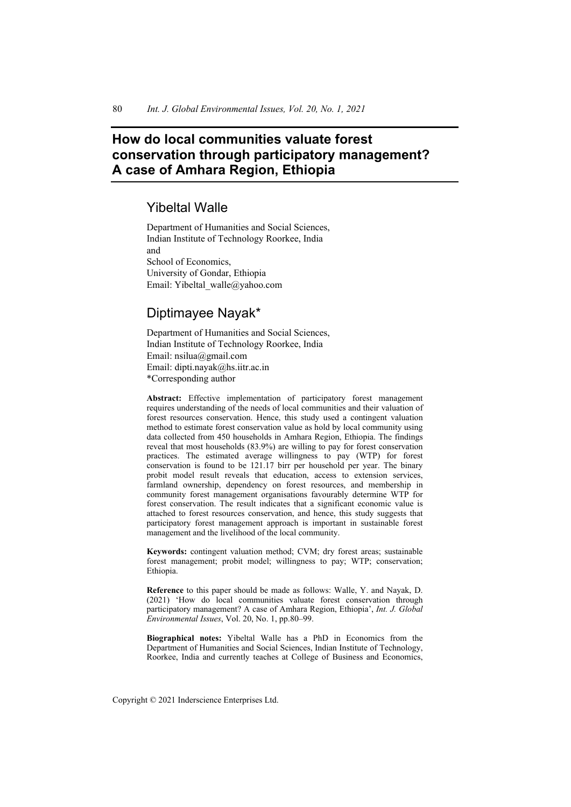# **How do local communities valuate forest conservation through participatory management? A case of Amhara Region, Ethiopia**

## Yibeltal Walle

Department of Humanities and Social Sciences, Indian Institute of Technology Roorkee, India and School of Economics, University of Gondar, Ethiopia Email: Yibeltal\_walle@yahoo.com

## Diptimayee Nayak\*

Department of Humanities and Social Sciences, Indian Institute of Technology Roorkee, India Email: nsilua@gmail.com Email: dipti.nayak@hs.iitr.ac.in \*Corresponding author

**Abstract:** Effective implementation of participatory forest management requires understanding of the needs of local communities and their valuation of forest resources conservation. Hence, this study used a contingent valuation method to estimate forest conservation value as hold by local community using data collected from 450 households in Amhara Region, Ethiopia. The findings reveal that most households (83.9%) are willing to pay for forest conservation practices. The estimated average willingness to pay (WTP) for forest conservation is found to be 121.17 birr per household per year. The binary probit model result reveals that education, access to extension services, farmland ownership, dependency on forest resources, and membership in community forest management organisations favourably determine WTP for forest conservation. The result indicates that a significant economic value is attached to forest resources conservation, and hence, this study suggests that participatory forest management approach is important in sustainable forest management and the livelihood of the local community.

**Keywords:** contingent valuation method; CVM; dry forest areas; sustainable forest management; probit model; willingness to pay; WTP; conservation; Ethiopia.

**Reference** to this paper should be made as follows: Walle, Y. and Nayak, D. (2021) 'How do local communities valuate forest conservation through participatory management? A case of Amhara Region, Ethiopia', *Int. J. Global Environmental Issues*, Vol. 20, No. 1, pp.80–99.

**Biographical notes:** Yibeltal Walle has a PhD in Economics from the Department of Humanities and Social Sciences, Indian Institute of Technology, Roorkee, India and currently teaches at College of Business and Economics,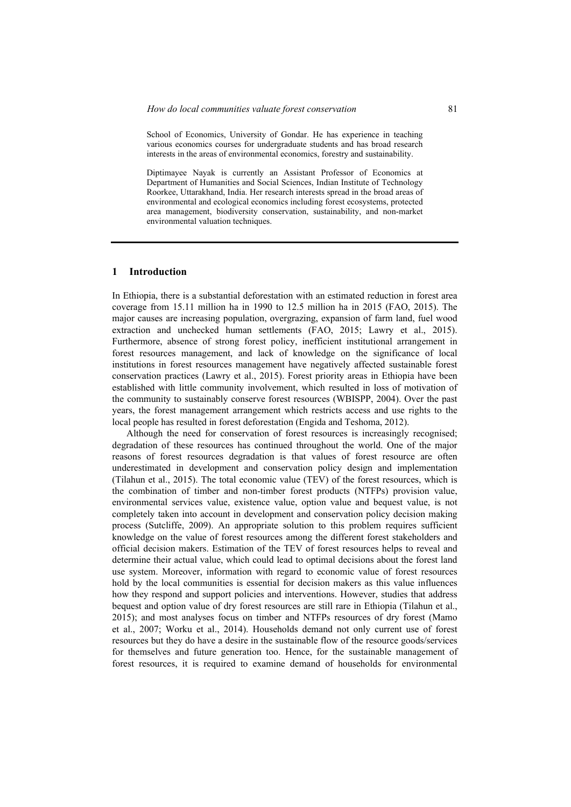School of Economics, University of Gondar. He has experience in teaching various economics courses for undergraduate students and has broad research interests in the areas of environmental economics, forestry and sustainability.

Diptimayee Nayak is currently an Assistant Professor of Economics at Department of Humanities and Social Sciences, Indian Institute of Technology Roorkee, Uttarakhand, India. Her research interests spread in the broad areas of environmental and ecological economics including forest ecosystems, protected area management, biodiversity conservation, sustainability, and non-market environmental valuation techniques.

#### **1 Introduction**

In Ethiopia, there is a substantial deforestation with an estimated reduction in forest area coverage from 15.11 million ha in 1990 to 12.5 million ha in 2015 (FAO, 2015). The major causes are increasing population, overgrazing, expansion of farm land, fuel wood extraction and unchecked human settlements (FAO, 2015; Lawry et al., 2015). Furthermore, absence of strong forest policy, inefficient institutional arrangement in forest resources management, and lack of knowledge on the significance of local institutions in forest resources management have negatively affected sustainable forest conservation practices (Lawry et al., 2015). Forest priority areas in Ethiopia have been established with little community involvement, which resulted in loss of motivation of the community to sustainably conserve forest resources (WBISPP, 2004). Over the past years, the forest management arrangement which restricts access and use rights to the local people has resulted in forest deforestation (Engida and Teshoma, 2012).

Although the need for conservation of forest resources is increasingly recognised; degradation of these resources has continued throughout the world. One of the major reasons of forest resources degradation is that values of forest resource are often underestimated in development and conservation policy design and implementation (Tilahun et al., 2015). The total economic value (TEV) of the forest resources, which is the combination of timber and non-timber forest products (NTFPs) provision value, environmental services value, existence value, option value and bequest value, is not completely taken into account in development and conservation policy decision making process (Sutcliffe, 2009). An appropriate solution to this problem requires sufficient knowledge on the value of forest resources among the different forest stakeholders and official decision makers. Estimation of the TEV of forest resources helps to reveal and determine their actual value, which could lead to optimal decisions about the forest land use system. Moreover, information with regard to economic value of forest resources hold by the local communities is essential for decision makers as this value influences how they respond and support policies and interventions. However, studies that address bequest and option value of dry forest resources are still rare in Ethiopia (Tilahun et al., 2015); and most analyses focus on timber and NTFPs resources of dry forest (Mamo et al., 2007; Worku et al., 2014). Households demand not only current use of forest resources but they do have a desire in the sustainable flow of the resource goods/services for themselves and future generation too. Hence, for the sustainable management of forest resources, it is required to examine demand of households for environmental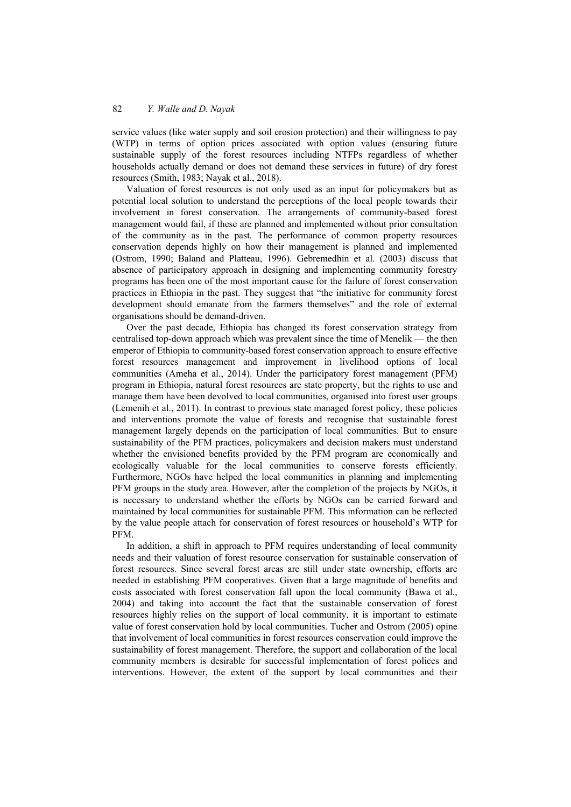service values (like water supply and soil erosion protection) and their willingness to pay (WTP) in terms of option prices associated with option values (ensuring future sustainable supply of the forest resources including NTFPs regardless of whether households actually demand or does not demand these services in future) of dry forest resources (Smith, 1983; Nayak et al., 2018).

Valuation of forest resources is not only used as an input for policymakers but as potential local solution to understand the perceptions of the local people towards their involvement in forest conservation. The arrangements of community-based forest management would fail, if these are planned and implemented without prior consultation of the community as in the past. The performance of common property resources conservation depends highly on how their management is planned and implemented (Ostrom, 1990; Baland and Platteau, 1996). Gebremedhin et al. (2003) discuss that absence of participatory approach in designing and implementing community forestry programs has been one of the most important cause for the failure of forest conservation practices in Ethiopia in the past. They suggest that "the initiative for community forest development should emanate from the farmers themselves" and the role of external organisations should be demand-driven.

Over the past decade, Ethiopia has changed its forest conservation strategy from centralised top-down approach which was prevalent since the time of Menelik — the then emperor of Ethiopia to community-based forest conservation approach to ensure effective forest resources management and improvement in livelihood options of local communities (Ameha et al., 2014). Under the participatory forest management (PFM) program in Ethiopia, natural forest resources are state property, but the rights to use and manage them have been devolved to local communities, organised into forest user groups (Lemenih et al., 2011). In contrast to previous state managed forest policy, these policies and interventions promote the value of forests and recognise that sustainable forest management largely depends on the participation of local communities. But to ensure sustainability of the PFM practices, policymakers and decision makers must understand whether the envisioned benefits provided by the PFM program are economically and ecologically valuable for the local communities to conserve forests efficiently. Furthermore, NGOs have helped the local communities in planning and implementing PFM groups in the study area. However, after the completion of the projects by NGOs, it is necessary to understand whether the efforts by NGOs can be carried forward and maintained by local communities for sustainable PFM. This information can be reflected by the value people attach for conservation of forest resources or household's WTP for PFM.

In addition, a shift in approach to PFM requires understanding of local community needs and their valuation of forest resource conservation for sustainable conservation of forest resources. Since several forest areas are still under state ownership, efforts are needed in establishing PFM cooperatives. Given that a large magnitude of benefits and costs associated with forest conservation fall upon the local community (Bawa et al., 2004) and taking into account the fact that the sustainable conservation of forest resources highly relies on the support of local community, it is important to estimate value of forest conservation hold by local communities. Tucher and Ostrom (2005) opine that involvement of local communities in forest resources conservation could improve the sustainability of forest management. Therefore, the support and collaboration of the local community members is desirable for successful implementation of forest polices and interventions. However, the extent of the support by local communities and their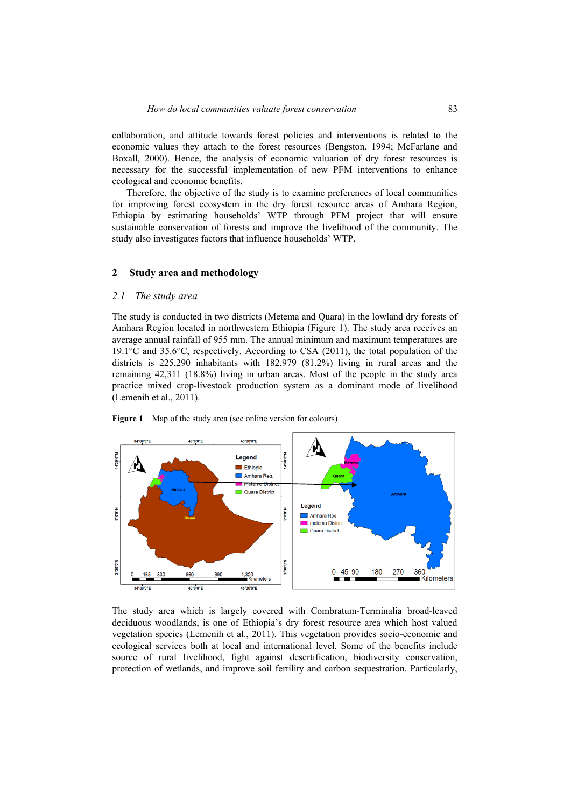collaboration, and attitude towards forest policies and interventions is related to the economic values they attach to the forest resources (Bengston, 1994; McFarlane and Boxall, 2000). Hence, the analysis of economic valuation of dry forest resources is necessary for the successful implementation of new PFM interventions to enhance ecological and economic benefits.

Therefore, the objective of the study is to examine preferences of local communities for improving forest ecosystem in the dry forest resource areas of Amhara Region, Ethiopia by estimating households' WTP through PFM project that will ensure sustainable conservation of forests and improve the livelihood of the community. The study also investigates factors that influence households' WTP.

#### **2 Study area and methodology**

#### *2.1 The study area*

The study is conducted in two districts (Metema and Quara) in the lowland dry forests of Amhara Region located in northwestern Ethiopia (Figure 1). The study area receives an average annual rainfall of 955 mm. The annual minimum and maximum temperatures are 19.1°C and 35.6°C, respectively. According to CSA (2011), the total population of the districts is 225,290 inhabitants with 182,979 (81.2%) living in rural areas and the remaining 42,311 (18.8%) living in urban areas. Most of the people in the study area practice mixed crop-livestock production system as a dominant mode of livelihood (Lemenih et al., 2011).





The study area which is largely covered with Combratum-Terminalia broad-leaved deciduous woodlands, is one of Ethiopia's dry forest resource area which host valued vegetation species (Lemenih et al., 2011). This vegetation provides socio-economic and ecological services both at local and international level. Some of the benefits include source of rural livelihood, fight against desertification, biodiversity conservation, protection of wetlands, and improve soil fertility and carbon sequestration. Particularly,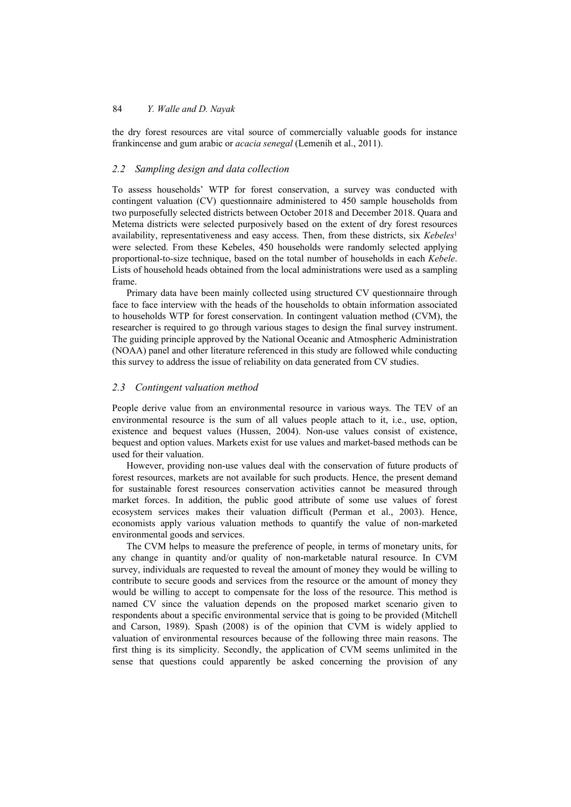the dry forest resources are vital source of commercially valuable goods for instance frankincense and gum arabic or *acacia senegal* (Lemenih et al., 2011).

## *2.2 Sampling design and data collection*

To assess households' WTP for forest conservation, a survey was conducted with contingent valuation (CV) questionnaire administered to 450 sample households from two purposefully selected districts between October 2018 and December 2018. Quara and Metema districts were selected purposively based on the extent of dry forest resources availability, representativeness and easy access. Then, from these districts, six *Kebeles*<sup>1</sup> were selected. From these Kebeles, 450 households were randomly selected applying proportional-to-size technique, based on the total number of households in each *Kebele*. Lists of household heads obtained from the local administrations were used as a sampling frame.

Primary data have been mainly collected using structured CV questionnaire through face to face interview with the heads of the households to obtain information associated to households WTP for forest conservation. In contingent valuation method (CVM), the researcher is required to go through various stages to design the final survey instrument. The guiding principle approved by the National Oceanic and Atmospheric Administration (NOAA) panel and other literature referenced in this study are followed while conducting this survey to address the issue of reliability on data generated from CV studies.

## *2.3 Contingent valuation method*

People derive value from an environmental resource in various ways. The TEV of an environmental resource is the sum of all values people attach to it, i.e., use, option, existence and bequest values (Hussen, 2004). Non-use values consist of existence, bequest and option values. Markets exist for use values and market-based methods can be used for their valuation.

However, providing non-use values deal with the conservation of future products of forest resources, markets are not available for such products. Hence, the present demand for sustainable forest resources conservation activities cannot be measured through market forces. In addition, the public good attribute of some use values of forest ecosystem services makes their valuation difficult (Perman et al., 2003). Hence, economists apply various valuation methods to quantify the value of non-marketed environmental goods and services.

The CVM helps to measure the preference of people, in terms of monetary units, for any change in quantity and/or quality of non-marketable natural resource. In CVM survey, individuals are requested to reveal the amount of money they would be willing to contribute to secure goods and services from the resource or the amount of money they would be willing to accept to compensate for the loss of the resource. This method is named CV since the valuation depends on the proposed market scenario given to respondents about a specific environmental service that is going to be provided (Mitchell and Carson, 1989). Spash (2008) is of the opinion that CVM is widely applied to valuation of environmental resources because of the following three main reasons. The first thing is its simplicity. Secondly, the application of CVM seems unlimited in the sense that questions could apparently be asked concerning the provision of any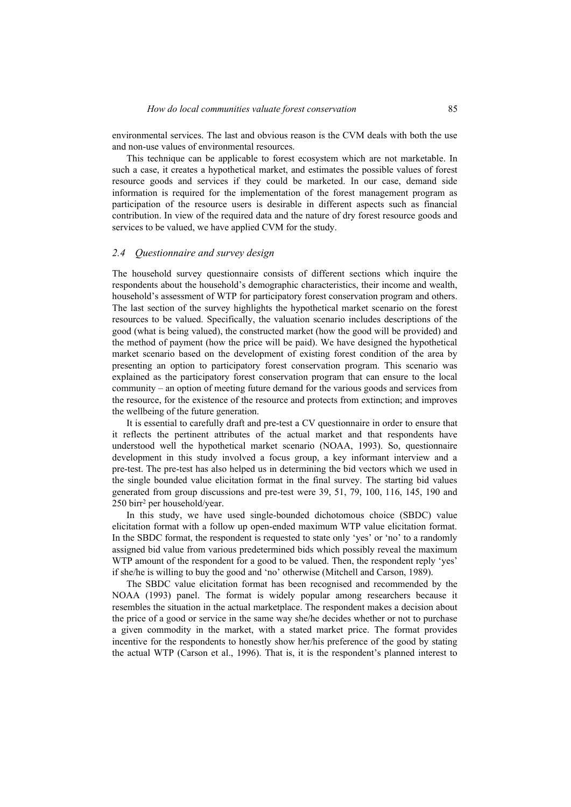environmental services. The last and obvious reason is the CVM deals with both the use and non-use values of environmental resources.

This technique can be applicable to forest ecosystem which are not marketable. In such a case, it creates a hypothetical market, and estimates the possible values of forest resource goods and services if they could be marketed. In our case, demand side information is required for the implementation of the forest management program as participation of the resource users is desirable in different aspects such as financial contribution. In view of the required data and the nature of dry forest resource goods and services to be valued, we have applied CVM for the study.

#### *2.4 Questionnaire and survey design*

The household survey questionnaire consists of different sections which inquire the respondents about the household's demographic characteristics, their income and wealth, household's assessment of WTP for participatory forest conservation program and others. The last section of the survey highlights the hypothetical market scenario on the forest resources to be valued. Specifically, the valuation scenario includes descriptions of the good (what is being valued), the constructed market (how the good will be provided) and the method of payment (how the price will be paid). We have designed the hypothetical market scenario based on the development of existing forest condition of the area by presenting an option to participatory forest conservation program. This scenario was explained as the participatory forest conservation program that can ensure to the local community – an option of meeting future demand for the various goods and services from the resource, for the existence of the resource and protects from extinction; and improves the wellbeing of the future generation.

It is essential to carefully draft and pre-test a CV questionnaire in order to ensure that it reflects the pertinent attributes of the actual market and that respondents have understood well the hypothetical market scenario (NOAA, 1993). So, questionnaire development in this study involved a focus group, a key informant interview and a pre-test. The pre-test has also helped us in determining the bid vectors which we used in the single bounded value elicitation format in the final survey. The starting bid values generated from group discussions and pre-test were 39, 51, 79, 100, 116, 145, 190 and 250 birr2 per household/year.

In this study, we have used single-bounded dichotomous choice (SBDC) value elicitation format with a follow up open-ended maximum WTP value elicitation format. In the SBDC format, the respondent is requested to state only 'yes' or 'no' to a randomly assigned bid value from various predetermined bids which possibly reveal the maximum WTP amount of the respondent for a good to be valued. Then, the respondent reply 'yes' if she/he is willing to buy the good and 'no' otherwise (Mitchell and Carson, 1989).

The SBDC value elicitation format has been recognised and recommended by the NOAA (1993) panel. The format is widely popular among researchers because it resembles the situation in the actual marketplace. The respondent makes a decision about the price of a good or service in the same way she/he decides whether or not to purchase a given commodity in the market, with a stated market price. The format provides incentive for the respondents to honestly show her/his preference of the good by stating the actual WTP (Carson et al., 1996). That is, it is the respondent's planned interest to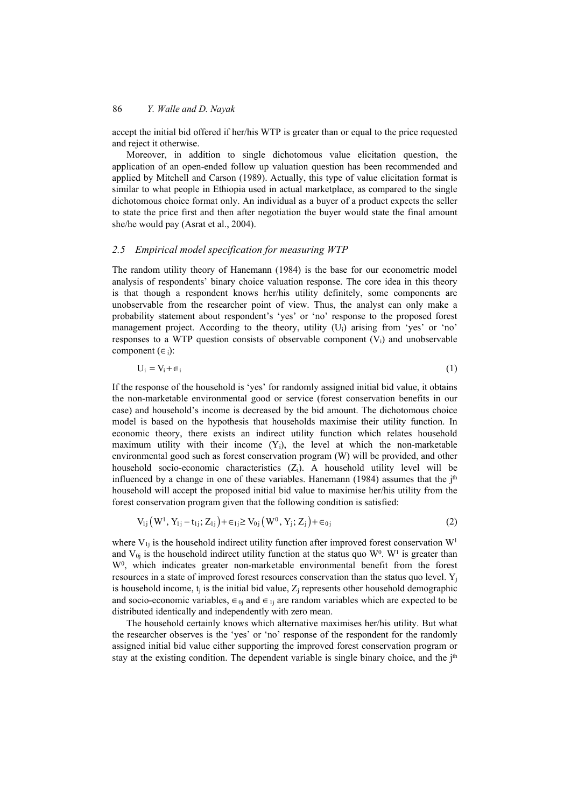accept the initial bid offered if her/his WTP is greater than or equal to the price requested and reject it otherwise.

Moreover, in addition to single dichotomous value elicitation question, the application of an open-ended follow up valuation question has been recommended and applied by Mitchell and Carson (1989). Actually, this type of value elicitation format is similar to what people in Ethiopia used in actual marketplace, as compared to the single dichotomous choice format only. An individual as a buyer of a product expects the seller to state the price first and then after negotiation the buyer would state the final amount she/he would pay (Asrat et al., 2004).

### *2.5 Empirical model specification for measuring WTP*

The random utility theory of Hanemann (1984) is the base for our econometric model analysis of respondents' binary choice valuation response. The core idea in this theory is that though a respondent knows her/his utility definitely, some components are unobservable from the researcher point of view. Thus, the analyst can only make a probability statement about respondent's 'yes' or 'no' response to the proposed forest management project. According to the theory, utility (Ui) arising from 'yes' or 'no' responses to a WTP question consists of observable component  $(V_i)$  and unobservable component  $(\in_i)$ :

$$
U_i = V_i + \epsilon_i \tag{1}
$$

If the response of the household is 'yes' for randomly assigned initial bid value, it obtains the non-marketable environmental good or service (forest conservation benefits in our case) and household's income is decreased by the bid amount. The dichotomous choice model is based on the hypothesis that households maximise their utility function. In economic theory, there exists an indirect utility function which relates household maximum utility with their income  $(Y_i)$ , the level at which the non-marketable environmental good such as forest conservation program (W) will be provided, and other household socio-economic characteristics  $(Z<sub>i</sub>)$ . A household utility level will be influenced by a change in one of these variables. Hanemann (1984) assumes that the  $i<sup>th</sup>$ household will accept the proposed initial bid value to maximise her/his utility from the forest conservation program given that the following condition is satisfied:

$$
V_{1j}(W^1, Y_{1j} - t_{1j}; Z_{1j}) + \epsilon_{1j} \ge V_{0j}(W^0, Y_j; Z_j) + \epsilon_{0j}
$$
\n
$$
(2)
$$

where  $V_{1j}$  is the household indirect utility function after improved forest conservation  $W^1$ and  $V_{0i}$  is the household indirect utility function at the status quo  $W^0$ . W<sup>1</sup> is greater than W0, which indicates greater non-marketable environmental benefit from the forest resources in a state of improved forest resources conservation than the status quo level. Yj is household income,  $t_i$  is the initial bid value,  $Z_i$  represents other household demographic and socio-economic variables,  $\epsilon_{0j}$  and  $\epsilon_{1j}$  are random variables which are expected to be distributed identically and independently with zero mean.

The household certainly knows which alternative maximises her/his utility. But what the researcher observes is the 'yes' or 'no' response of the respondent for the randomly assigned initial bid value either supporting the improved forest conservation program or stay at the existing condition. The dependent variable is single binary choice, and the j<sup>th</sup>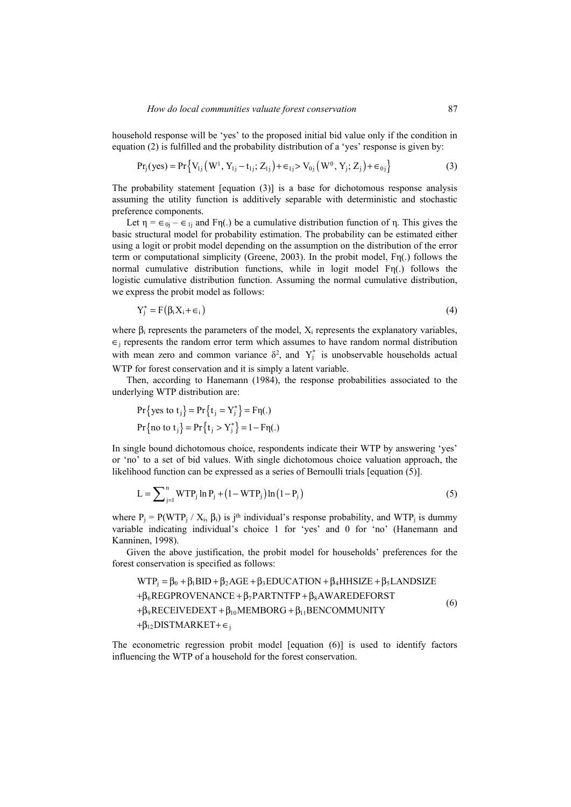household response will be 'yes' to the proposed initial bid value only if the condition in equation (2) is fulfilled and the probability distribution of a 'yes' response is given by:

$$
Pr_j(\text{yes}) = Pr\left\{V_{1j}(W^1, Y_{1j} - t_{1j}; Z_{1j}) + \epsilon_{1j} > V_{0j}(W^0, Y_j; Z_j) + \epsilon_{0j}\right\}
$$
(3)

The probability statement [equation (3)] is a base for dichotomous response analysis assuming the utility function is additively separable with deterministic and stochastic preference components.

Let  $\eta = \epsilon_{0i} - \epsilon_{1i}$  and Fη(.) be a cumulative distribution function of η. This gives the basic structural model for probability estimation. The probability can be estimated either using a logit or probit model depending on the assumption on the distribution of the error term or computational simplicity (Greene, 2003). In the probit model, Fη(.) follows the normal cumulative distribution functions, while in logit model Fη(.) follows the logistic cumulative distribution function. Assuming the normal cumulative distribution, we express the probit model as follows:

$$
Y_j^* = F(\beta_i X_i + \epsilon_i) \tag{4}
$$

where  $\beta_i$  represents the parameters of the model,  $X_i$  represents the explanatory variables,  $\epsilon_i$  represents the random error term which assumes to have random normal distribution with mean zero and common variance  $\delta^2$ , and  $Y_j^*$  is unobservable households actual WTP for forest conservation and it is simply a latent variable.

Then, according to Hanemann (1984), the response probabilities associated to the underlying WTP distribution are:

$$
Pr\{\text{yes to } t_j\} = Pr\{t_j = Y_j^*\} = Fn(.)
$$
  
Pr\{no to  $t_j\} = Pr\{t_j > Y_j^*\} = 1 - Fn(.)$ 

In single bound dichotomous choice, respondents indicate their WTP by answering 'yes' or 'no' to a set of bid values. With single dichotomous choice valuation approach, the likelihood function can be expressed as a series of Bernoulli trials [equation (5)].

$$
L = \sum_{j=1}^{n} WTP_j \ln P_j + (1 - WTP_j) \ln (1 - P_j)
$$
 (5)

where  $P_j = P(WTP_j / X_i, \beta_i)$  is j<sup>th</sup> individual's response probability, and WTP<sub>j</sub> is dummy variable indicating individual's choice 1 for 'yes' and 0 for 'no' (Hanemann and Kanninen, 1998).

Given the above justification, the probit model for households' preferences for the forest conservation is specified as follows:

$$
WTP_j = \beta_0 + \beta_1 BID + \beta_2 AGE + \beta_3 EDUCATION + \beta_4 HHSIZE + \beta_5 LANDSIZE
$$
  
+ $\beta_6 REGPROVENANCE + \beta_7 PARTNTFP + \beta_8 AWAREDEFORMST$   
+ $\beta_9 RECEIVEDEXT + \beta_{10} MEMBORG + \beta_{11} BENCOMMUNITY$  (6)  
+ $\beta_{12}$ DISTMARKET+ $\epsilon_j$ 

The econometric regression probit model [equation (6)] is used to identify factors influencing the WTP of a household for the forest conservation.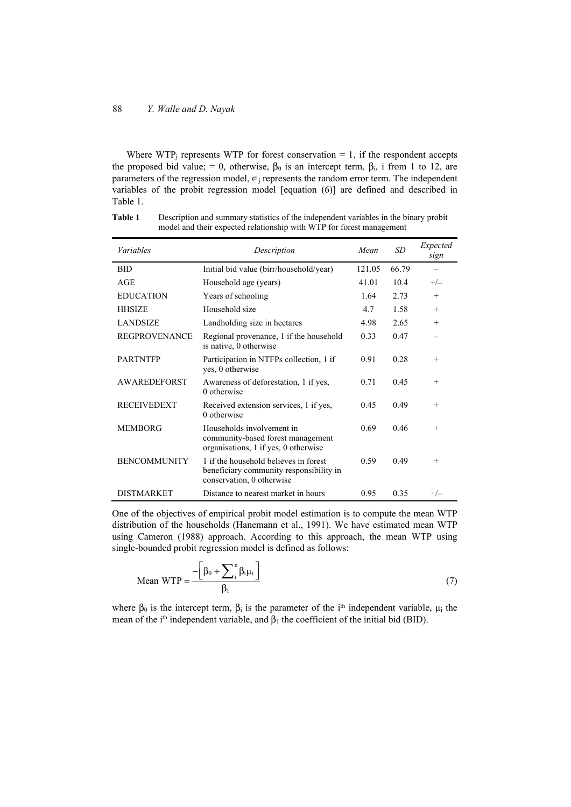Where WTP<sub>i</sub> represents WTP for forest conservation  $= 1$ , if the respondent accepts the proposed bid value; = 0, otherwise,  $\beta_0$  is an intercept term,  $\beta_i$ , i from 1 to 12, are parameters of the regression model,  $\epsilon_i$  represents the random error term. The independent variables of the probit regression model [equation (6)] are defined and described in Table 1.

| <i>Variables</i>     | Description                                                                                                   | Mean   | SD    | Expected<br>sign |
|----------------------|---------------------------------------------------------------------------------------------------------------|--------|-------|------------------|
| <b>BID</b>           | Initial bid value (birr/household/year)                                                                       | 121.05 | 66.79 |                  |
| AGE                  | Household age (years)                                                                                         | 41.01  | 10.4  | $+/-$            |
| <b>EDUCATION</b>     | Years of schooling                                                                                            | 1.64   | 2.73  | $^{+}$           |
| <b>HHSIZE</b>        | Household size                                                                                                | 4.7    | 1.58  | $^{+}$           |
| <b>LANDSIZE</b>      | Landholding size in hectares                                                                                  | 4.98   | 2.65  | $^{+}$           |
| <b>REGPROVENANCE</b> | Regional provenance, 1 if the household<br>is native, 0 otherwise                                             | 0.33   | 0.47  |                  |
| <b>PARTNTFP</b>      | Participation in NTFPs collection, 1 if<br>yes, 0 otherwise                                                   | 0.91   | 0.28  | $^{+}$           |
| <b>AWAREDEFORST</b>  | Awareness of deforestation, 1 if yes,<br>0 otherwise                                                          | 0.71   | 0.45  | $^{+}$           |
| <b>RECEIVEDEXT</b>   | Received extension services, 1 if yes,<br>0 otherwise                                                         | 0.45   | 0.49  | $^{+}$           |
| <b>MEMBORG</b>       | Households involvement in<br>community-based forest management<br>organisations, 1 if yes, 0 otherwise        | 0.69   | 0.46  | $^{+}$           |
| <b>BENCOMMUNITY</b>  | 1 if the household believes in forest<br>beneficiary community responsibility in<br>conservation, 0 otherwise | 0.59   | 0.49  | $^{+}$           |
| <b>DISTMARKET</b>    | Distance to nearest market in hours                                                                           | 0.95   | 0.35  | $+/-$            |

**Table 1** Description and summary statistics of the independent variables in the binary probit model and their expected relationship with WTP for forest management

One of the objectives of empirical probit model estimation is to compute the mean WTP distribution of the households (Hanemann et al., 1991). We have estimated mean WTP using Cameron (1988) approach. According to this approach, the mean WTP using single-bounded probit regression model is defined as follows:

Mean WTP = 
$$
\frac{-\left[\beta_0 + \sum_{i=1}^{n} \beta_i \mu_i\right]}{\beta_1}
$$
 (7)

where  $\beta_0$  is the intercept term,  $\beta_i$  is the parameter of the i<sup>th</sup> independent variable,  $\mu_i$  the mean of the i<sup>th</sup> independent variable, and  $\beta_1$  the coefficient of the initial bid (BID).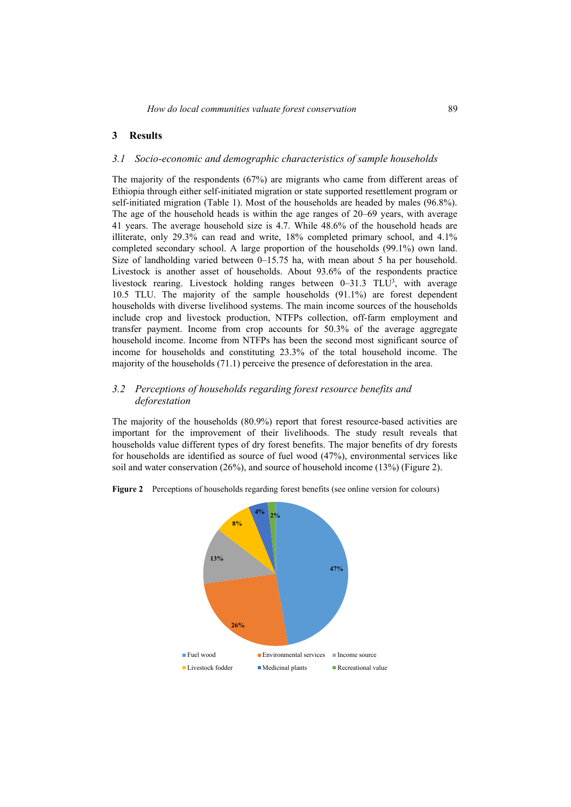### **3 Results**

#### *3.1 Socio-economic and demographic characteristics of sample households*

The majority of the respondents (67%) are migrants who came from different areas of Ethiopia through either self-initiated migration or state supported resettlement program or self-initiated migration (Table 1). Most of the households are headed by males (96.8%). The age of the household heads is within the age ranges of 20–69 years, with average 41 years. The average household size is 4.7. While 48.6% of the household heads are illiterate, only 29.3% can read and write, 18% completed primary school, and 4.1% completed secondary school. A large proportion of the households (99.1%) own land. Size of landholding varied between 0–15.75 ha, with mean about 5 ha per household. Livestock is another asset of households. About 93.6% of the respondents practice livestock rearing. Livestock holding ranges between 0–31.3 TLU<sup>3</sup>, with average 10.5 TLU. The majority of the sample households (91.1%) are forest dependent households with diverse livelihood systems. The main income sources of the households include crop and livestock production, NTFPs collection, off-farm employment and transfer payment. Income from crop accounts for 50.3% of the average aggregate household income. Income from NTFPs has been the second most significant source of income for households and constituting 23.3% of the total household income. The majority of the households (71.1) perceive the presence of deforestation in the area.

## *3.2 Perceptions of households regarding forest resource benefits and deforestation*

The majority of the households (80.9%) report that forest resource-based activities are important for the improvement of their livelihoods. The study result reveals that households value different types of dry forest benefits. The major benefits of dry forests for households are identified as source of fuel wood (47%), environmental services like soil and water conservation (26%), and source of household income (13%) (Figure 2).



**Figure 2** Perceptions of households regarding forest benefits (see online version for colours)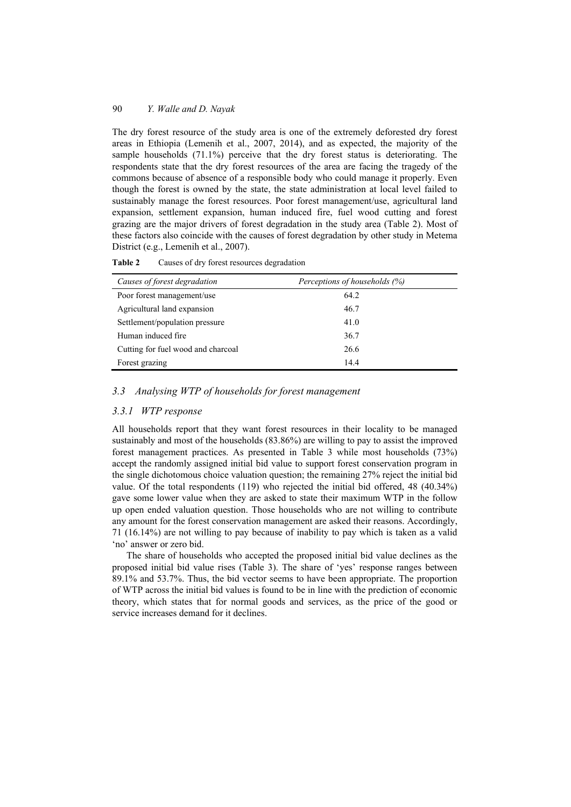The dry forest resource of the study area is one of the extremely deforested dry forest areas in Ethiopia (Lemenih et al., 2007, 2014), and as expected, the majority of the sample households (71.1%) perceive that the dry forest status is deteriorating. The respondents state that the dry forest resources of the area are facing the tragedy of the commons because of absence of a responsible body who could manage it properly. Even though the forest is owned by the state, the state administration at local level failed to sustainably manage the forest resources. Poor forest management/use, agricultural land expansion, settlement expansion, human induced fire, fuel wood cutting and forest grazing are the major drivers of forest degradation in the study area (Table 2). Most of these factors also coincide with the causes of forest degradation by other study in Metema District (e.g., Lemenih et al., 2007).

| Causes of forest degradation       | Perceptions of households (%) |
|------------------------------------|-------------------------------|
| Poor forest management/use         | 64.2                          |
| Agricultural land expansion        | 46.7                          |
| Settlement/population pressure     | 41.0                          |
| Human induced fire                 | 36.7                          |
| Cutting for fuel wood and charcoal | 26.6                          |
| Forest grazing                     | 14.4                          |

Table 2 Causes of dry forest resources degradation

## *3.3 Analysing WTP of households for forest management*

## *3.3.1 WTP response*

All households report that they want forest resources in their locality to be managed sustainably and most of the households (83.86%) are willing to pay to assist the improved forest management practices. As presented in Table 3 while most households (73%) accept the randomly assigned initial bid value to support forest conservation program in the single dichotomous choice valuation question; the remaining 27% reject the initial bid value. Of the total respondents (119) who rejected the initial bid offered, 48 (40.34%) gave some lower value when they are asked to state their maximum WTP in the follow up open ended valuation question. Those households who are not willing to contribute any amount for the forest conservation management are asked their reasons. Accordingly, 71 (16.14%) are not willing to pay because of inability to pay which is taken as a valid 'no' answer or zero bid.

The share of households who accepted the proposed initial bid value declines as the proposed initial bid value rises (Table 3). The share of 'yes' response ranges between 89.1% and 53.7%. Thus, the bid vector seems to have been appropriate. The proportion of WTP across the initial bid values is found to be in line with the prediction of economic theory, which states that for normal goods and services, as the price of the good or service increases demand for it declines.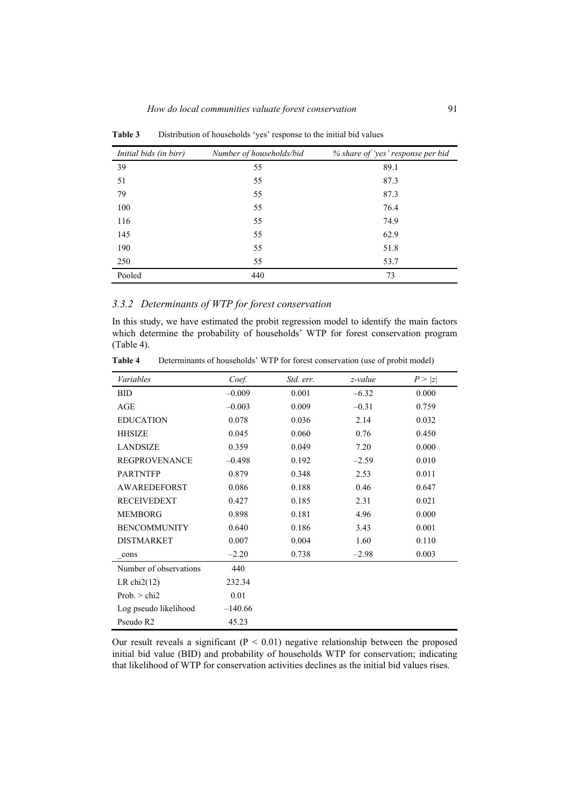| Initial bids (in birr) | Number of households/bid | % share of 'yes' response per bid |
|------------------------|--------------------------|-----------------------------------|
| 39                     | 55                       | 89.1                              |
| 51                     | 55                       | 87.3                              |
| 79                     | 55                       | 87.3                              |
| 100                    | 55                       | 76.4                              |
| 116                    | 55                       | 74.9                              |
| 145                    | 55                       | 62.9                              |
| 190                    | 55                       | 51.8                              |
| 250                    | 55                       | 53.7                              |
| Pooled                 | 440                      | 73                                |

**Table 3** Distribution of households 'yes' response to the initial bid values

#### *3.3.2 Determinants of WTP for forest conservation*

In this study, we have estimated the probit regression model to identify the main factors which determine the probability of households' WTP for forest conservation program (Table 4).

| Determinants of households' WTP for forest conservation (use of probit model)<br><b>Table 4</b> |  |
|-------------------------------------------------------------------------------------------------|--|
|-------------------------------------------------------------------------------------------------|--|

| Variables              | Coef.     | Std. err. | z-value | P >  z |
|------------------------|-----------|-----------|---------|--------|
| <b>BID</b>             | $-0.009$  | 0.001     | $-6.32$ | 0.000  |
| AGE                    | $-0.003$  | 0.009     | $-0.31$ | 0.759  |
| <b>EDUCATION</b>       | 0.078     | 0.036     | 2.14    | 0.032  |
| <b>HHSIZE</b>          | 0.045     | 0.060     | 0.76    | 0.450  |
| <b>LANDSIZE</b>        | 0.359     | 0.049     | 7.20    | 0.000  |
| <b>REGPROVENANCE</b>   | $-0.498$  | 0.192     | $-2.59$ | 0.010  |
| <b>PARTNTFP</b>        | 0.879     | 0.348     | 2.53    | 0.011  |
| <b>AWAREDEFORST</b>    | 0.086     | 0.188     | 0.46    | 0.647  |
| <b>RECEIVEDEXT</b>     | 0.427     | 0.185     | 2.31    | 0.021  |
| <b>MEMBORG</b>         | 0.898     | 0.181     | 4.96    | 0.000  |
| <b>BENCOMMUNITY</b>    | 0.640     | 0.186     | 3.43    | 0.001  |
| <b>DISTMARKET</b>      | 0.007     | 0.004     | 1.60    | 0.110  |
| cons                   | $-2.20$   | 0.738     | $-2.98$ | 0.003  |
| Number of observations | 440       |           |         |        |
| LR $chi2(12)$          | 232.34    |           |         |        |
| Prob. $>$ chi2         | 0.01      |           |         |        |
| Log pseudo likelihood  | $-140.66$ |           |         |        |
| Pseudo R2              | 45.23     |           |         |        |

Our result reveals a significant ( $P < 0.01$ ) negative relationship between the proposed initial bid value (BID) and probability of households WTP for conservation; indicating that likelihood of WTP for conservation activities declines as the initial bid values rises.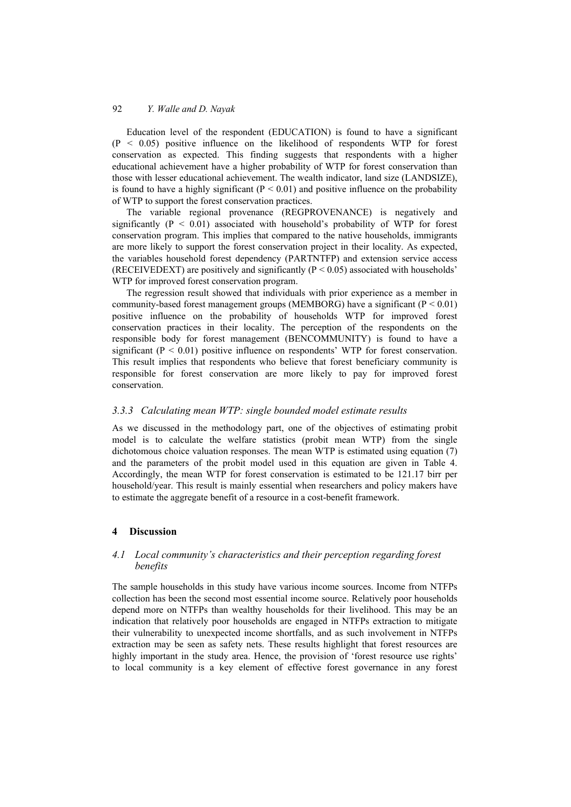Education level of the respondent (EDUCATION) is found to have a significant  $(P < 0.05)$  positive influence on the likelihood of respondents WTP for forest conservation as expected. This finding suggests that respondents with a higher educational achievement have a higher probability of WTP for forest conservation than those with lesser educational achievement. The wealth indicator, land size (LANDSIZE), is found to have a highly significant  $(P < 0.01)$  and positive influence on the probability of WTP to support the forest conservation practices.

The variable regional provenance (REGPROVENANCE) is negatively and significantly  $(P < 0.01)$  associated with household's probability of WTP for forest conservation program. This implies that compared to the native households, immigrants are more likely to support the forest conservation project in their locality. As expected, the variables household forest dependency (PARTNTFP) and extension service access (RECEIVEDEXT) are positively and significantly  $(P < 0.05)$  associated with households' WTP for improved forest conservation program.

The regression result showed that individuals with prior experience as a member in community-based forest management groups (MEMBORG) have a significant ( $P < 0.01$ ) positive influence on the probability of households WTP for improved forest conservation practices in their locality. The perception of the respondents on the responsible body for forest management (BENCOMMUNITY) is found to have a significant ( $P < 0.01$ ) positive influence on respondents' WTP for forest conservation. This result implies that respondents who believe that forest beneficiary community is responsible for forest conservation are more likely to pay for improved forest conservation.

## *3.3.3 Calculating mean WTP: single bounded model estimate results*

As we discussed in the methodology part, one of the objectives of estimating probit model is to calculate the welfare statistics (probit mean WTP) from the single dichotomous choice valuation responses. The mean WTP is estimated using equation (7) and the parameters of the probit model used in this equation are given in Table 4. Accordingly, the mean WTP for forest conservation is estimated to be 121.17 birr per household/year. This result is mainly essential when researchers and policy makers have to estimate the aggregate benefit of a resource in a cost-benefit framework.

### **4 Discussion**

## *4.1 Local community's characteristics and their perception regarding forest benefits*

The sample households in this study have various income sources. Income from NTFPs collection has been the second most essential income source. Relatively poor households depend more on NTFPs than wealthy households for their livelihood. This may be an indication that relatively poor households are engaged in NTFPs extraction to mitigate their vulnerability to unexpected income shortfalls, and as such involvement in NTFPs extraction may be seen as safety nets. These results highlight that forest resources are highly important in the study area. Hence, the provision of 'forest resource use rights' to local community is a key element of effective forest governance in any forest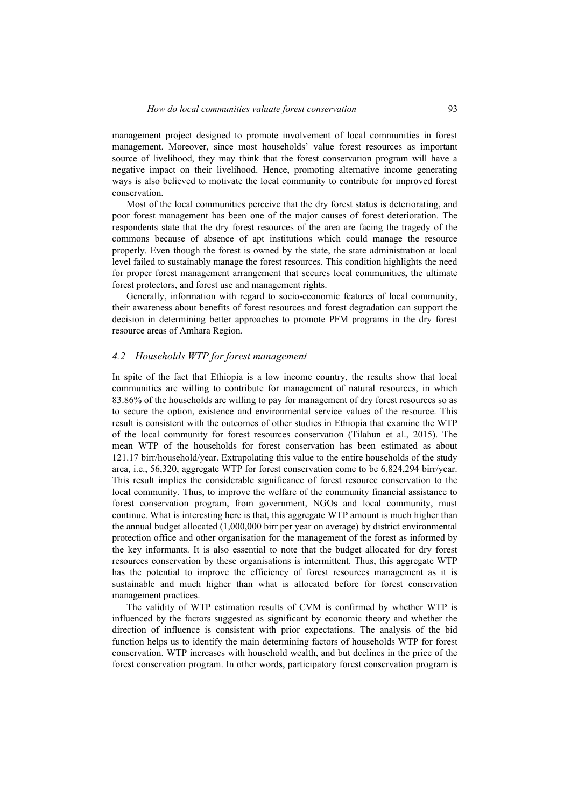management project designed to promote involvement of local communities in forest management. Moreover, since most households' value forest resources as important source of livelihood, they may think that the forest conservation program will have a negative impact on their livelihood. Hence, promoting alternative income generating ways is also believed to motivate the local community to contribute for improved forest conservation.

Most of the local communities perceive that the dry forest status is deteriorating, and poor forest management has been one of the major causes of forest deterioration. The respondents state that the dry forest resources of the area are facing the tragedy of the commons because of absence of apt institutions which could manage the resource properly. Even though the forest is owned by the state, the state administration at local level failed to sustainably manage the forest resources. This condition highlights the need for proper forest management arrangement that secures local communities, the ultimate forest protectors, and forest use and management rights.

Generally, information with regard to socio-economic features of local community, their awareness about benefits of forest resources and forest degradation can support the decision in determining better approaches to promote PFM programs in the dry forest resource areas of Amhara Region.

#### *4.2 Households WTP for forest management*

In spite of the fact that Ethiopia is a low income country, the results show that local communities are willing to contribute for management of natural resources, in which 83.86% of the households are willing to pay for management of dry forest resources so as to secure the option, existence and environmental service values of the resource. This result is consistent with the outcomes of other studies in Ethiopia that examine the WTP of the local community for forest resources conservation (Tilahun et al., 2015). The mean WTP of the households for forest conservation has been estimated as about 121.17 birr/household/year. Extrapolating this value to the entire households of the study area, i.e., 56,320, aggregate WTP for forest conservation come to be 6,824,294 birr/year. This result implies the considerable significance of forest resource conservation to the local community. Thus, to improve the welfare of the community financial assistance to forest conservation program, from government, NGOs and local community, must continue. What is interesting here is that, this aggregate WTP amount is much higher than the annual budget allocated (1,000,000 birr per year on average) by district environmental protection office and other organisation for the management of the forest as informed by the key informants. It is also essential to note that the budget allocated for dry forest resources conservation by these organisations is intermittent. Thus, this aggregate WTP has the potential to improve the efficiency of forest resources management as it is sustainable and much higher than what is allocated before for forest conservation management practices.

The validity of WTP estimation results of CVM is confirmed by whether WTP is influenced by the factors suggested as significant by economic theory and whether the direction of influence is consistent with prior expectations. The analysis of the bid function helps us to identify the main determining factors of households WTP for forest conservation. WTP increases with household wealth, and but declines in the price of the forest conservation program. In other words, participatory forest conservation program is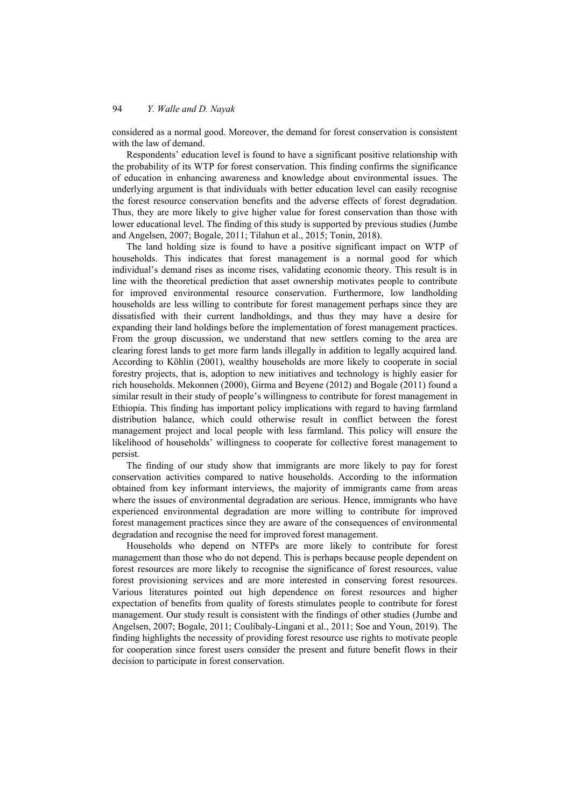considered as a normal good. Moreover, the demand for forest conservation is consistent with the law of demand.

Respondents' education level is found to have a significant positive relationship with the probability of its WTP for forest conservation. This finding confirms the significance of education in enhancing awareness and knowledge about environmental issues. The underlying argument is that individuals with better education level can easily recognise the forest resource conservation benefits and the adverse effects of forest degradation. Thus, they are more likely to give higher value for forest conservation than those with lower educational level. The finding of this study is supported by previous studies (Jumbe and Angelsen, 2007; Bogale, 2011; Tilahun et al., 2015; Tonin, 2018).

The land holding size is found to have a positive significant impact on WTP of households. This indicates that forest management is a normal good for which individual's demand rises as income rises, validating economic theory. This result is in line with the theoretical prediction that asset ownership motivates people to contribute for improved environmental resource conservation. Furthermore, low landholding households are less willing to contribute for forest management perhaps since they are dissatisfied with their current landholdings, and thus they may have a desire for expanding their land holdings before the implementation of forest management practices. From the group discussion, we understand that new settlers coming to the area are clearing forest lands to get more farm lands illegally in addition to legally acquired land. According to Köhlin (2001), wealthy households are more likely to cooperate in social forestry projects, that is, adoption to new initiatives and technology is highly easier for rich households. Mekonnen (2000), Girma and Beyene (2012) and Bogale (2011) found a similar result in their study of people's willingness to contribute for forest management in Ethiopia. This finding has important policy implications with regard to having farmland distribution balance, which could otherwise result in conflict between the forest management project and local people with less farmland. This policy will ensure the likelihood of households' willingness to cooperate for collective forest management to persist.

The finding of our study show that immigrants are more likely to pay for forest conservation activities compared to native households. According to the information obtained from key informant interviews, the majority of immigrants came from areas where the issues of environmental degradation are serious. Hence, immigrants who have experienced environmental degradation are more willing to contribute for improved forest management practices since they are aware of the consequences of environmental degradation and recognise the need for improved forest management.

Households who depend on NTFPs are more likely to contribute for forest management than those who do not depend. This is perhaps because people dependent on forest resources are more likely to recognise the significance of forest resources, value forest provisioning services and are more interested in conserving forest resources. Various literatures pointed out high dependence on forest resources and higher expectation of benefits from quality of forests stimulates people to contribute for forest management. Our study result is consistent with the findings of other studies (Jumbe and Angelsen, 2007; Bogale, 2011; Coulibaly-Lingani et al., 2011; Soe and Youn, 2019). The finding highlights the necessity of providing forest resource use rights to motivate people for cooperation since forest users consider the present and future benefit flows in their decision to participate in forest conservation.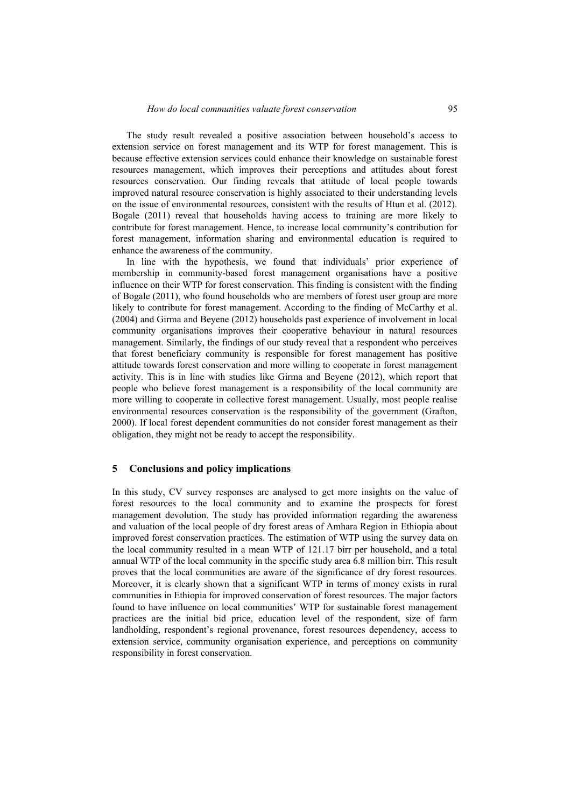The study result revealed a positive association between household's access to extension service on forest management and its WTP for forest management. This is because effective extension services could enhance their knowledge on sustainable forest resources management, which improves their perceptions and attitudes about forest resources conservation. Our finding reveals that attitude of local people towards improved natural resource conservation is highly associated to their understanding levels on the issue of environmental resources, consistent with the results of Htun et al. (2012). Bogale (2011) reveal that households having access to training are more likely to contribute for forest management. Hence, to increase local community's contribution for forest management, information sharing and environmental education is required to enhance the awareness of the community.

In line with the hypothesis, we found that individuals' prior experience of membership in community-based forest management organisations have a positive influence on their WTP for forest conservation. This finding is consistent with the finding of Bogale (2011), who found households who are members of forest user group are more likely to contribute for forest management. According to the finding of McCarthy et al. (2004) and Girma and Beyene (2012) households past experience of involvement in local community organisations improves their cooperative behaviour in natural resources management. Similarly, the findings of our study reveal that a respondent who perceives that forest beneficiary community is responsible for forest management has positive attitude towards forest conservation and more willing to cooperate in forest management activity. This is in line with studies like Girma and Beyene (2012), which report that people who believe forest management is a responsibility of the local community are more willing to cooperate in collective forest management. Usually, most people realise environmental resources conservation is the responsibility of the government (Grafton, 2000). If local forest dependent communities do not consider forest management as their obligation, they might not be ready to accept the responsibility.

#### **5 Conclusions and policy implications**

In this study, CV survey responses are analysed to get more insights on the value of forest resources to the local community and to examine the prospects for forest management devolution. The study has provided information regarding the awareness and valuation of the local people of dry forest areas of Amhara Region in Ethiopia about improved forest conservation practices. The estimation of WTP using the survey data on the local community resulted in a mean WTP of 121.17 birr per household, and a total annual WTP of the local community in the specific study area 6.8 million birr. This result proves that the local communities are aware of the significance of dry forest resources. Moreover, it is clearly shown that a significant WTP in terms of money exists in rural communities in Ethiopia for improved conservation of forest resources. The major factors found to have influence on local communities' WTP for sustainable forest management practices are the initial bid price, education level of the respondent, size of farm landholding, respondent's regional provenance, forest resources dependency, access to extension service, community organisation experience, and perceptions on community responsibility in forest conservation.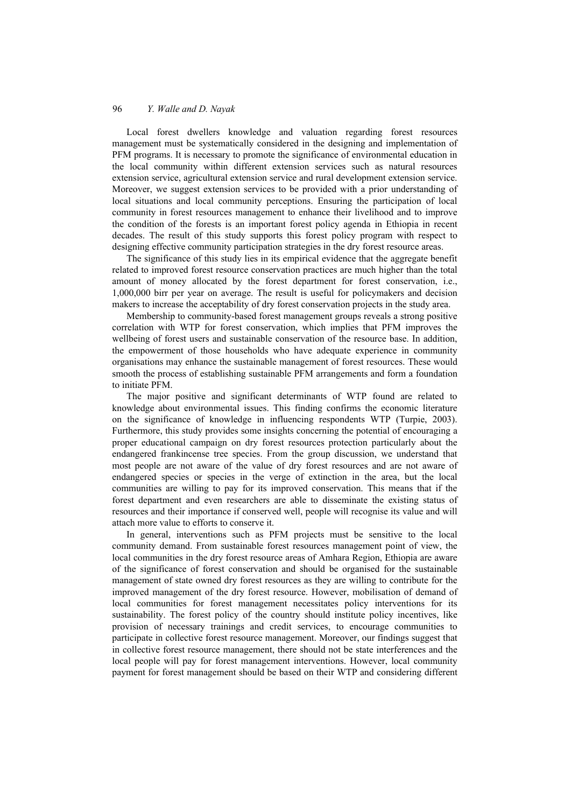Local forest dwellers knowledge and valuation regarding forest resources management must be systematically considered in the designing and implementation of PFM programs. It is necessary to promote the significance of environmental education in the local community within different extension services such as natural resources extension service, agricultural extension service and rural development extension service. Moreover, we suggest extension services to be provided with a prior understanding of local situations and local community perceptions. Ensuring the participation of local community in forest resources management to enhance their livelihood and to improve the condition of the forests is an important forest policy agenda in Ethiopia in recent decades. The result of this study supports this forest policy program with respect to designing effective community participation strategies in the dry forest resource areas.

The significance of this study lies in its empirical evidence that the aggregate benefit related to improved forest resource conservation practices are much higher than the total amount of money allocated by the forest department for forest conservation, i.e., 1,000,000 birr per year on average. The result is useful for policymakers and decision makers to increase the acceptability of dry forest conservation projects in the study area.

Membership to community-based forest management groups reveals a strong positive correlation with WTP for forest conservation, which implies that PFM improves the wellbeing of forest users and sustainable conservation of the resource base. In addition, the empowerment of those households who have adequate experience in community organisations may enhance the sustainable management of forest resources. These would smooth the process of establishing sustainable PFM arrangements and form a foundation to initiate PFM.

The major positive and significant determinants of WTP found are related to knowledge about environmental issues. This finding confirms the economic literature on the significance of knowledge in influencing respondents WTP (Turpie, 2003). Furthermore, this study provides some insights concerning the potential of encouraging a proper educational campaign on dry forest resources protection particularly about the endangered frankincense tree species. From the group discussion, we understand that most people are not aware of the value of dry forest resources and are not aware of endangered species or species in the verge of extinction in the area, but the local communities are willing to pay for its improved conservation. This means that if the forest department and even researchers are able to disseminate the existing status of resources and their importance if conserved well, people will recognise its value and will attach more value to efforts to conserve it.

In general, interventions such as PFM projects must be sensitive to the local community demand. From sustainable forest resources management point of view, the local communities in the dry forest resource areas of Amhara Region, Ethiopia are aware of the significance of forest conservation and should be organised for the sustainable management of state owned dry forest resources as they are willing to contribute for the improved management of the dry forest resource. However, mobilisation of demand of local communities for forest management necessitates policy interventions for its sustainability. The forest policy of the country should institute policy incentives, like provision of necessary trainings and credit services, to encourage communities to participate in collective forest resource management. Moreover, our findings suggest that in collective forest resource management, there should not be state interferences and the local people will pay for forest management interventions. However, local community payment for forest management should be based on their WTP and considering different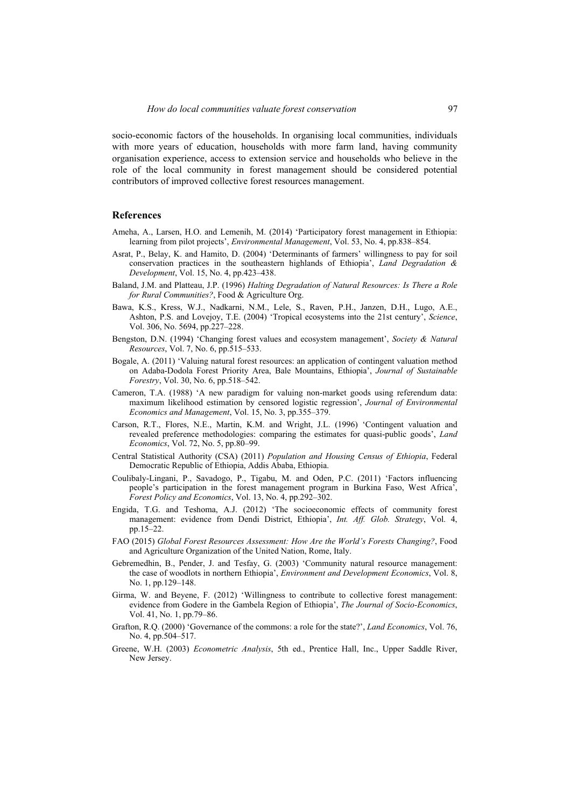socio-economic factors of the households. In organising local communities, individuals with more years of education, households with more farm land, having community organisation experience, access to extension service and households who believe in the role of the local community in forest management should be considered potential contributors of improved collective forest resources management.

### **References**

- Ameha, A., Larsen, H.O. and Lemenih, M. (2014) 'Participatory forest management in Ethiopia: learning from pilot projects', *Environmental Management*, Vol. 53, No. 4, pp.838–854.
- Asrat, P., Belay, K. and Hamito, D. (2004) 'Determinants of farmers' willingness to pay for soil conservation practices in the southeastern highlands of Ethiopia', *Land Degradation & Development*, Vol. 15, No. 4, pp.423–438.
- Baland, J.M. and Platteau, J.P. (1996) *Halting Degradation of Natural Resources: Is There a Role for Rural Communities?*, Food & Agriculture Org.
- Bawa, K.S., Kress, W.J., Nadkarni, N.M., Lele, S., Raven, P.H., Janzen, D.H., Lugo, A.E., Ashton, P.S. and Lovejoy, T.E. (2004) 'Tropical ecosystems into the 21st century', *Science*, Vol. 306, No. 5694, pp.227–228.
- Bengston, D.N. (1994) 'Changing forest values and ecosystem management', *Society & Natural Resources*, Vol. 7, No. 6, pp.515–533.
- Bogale, A. (2011) 'Valuing natural forest resources: an application of contingent valuation method on Adaba-Dodola Forest Priority Area, Bale Mountains, Ethiopia', *Journal of Sustainable Forestry*, Vol. 30, No. 6, pp.518–542.
- Cameron, T.A. (1988) 'A new paradigm for valuing non-market goods using referendum data: maximum likelihood estimation by censored logistic regression', *Journal of Environmental Economics and Management*, Vol. 15, No. 3, pp.355–379.
- Carson, R.T., Flores, N.E., Martin, K.M. and Wright, J.L. (1996) 'Contingent valuation and revealed preference methodologies: comparing the estimates for quasi-public goods', *Land Economics*, Vol. 72, No. 5, pp.80–99.
- Central Statistical Authority (CSA) (2011) *Population and Housing Census of Ethiopia*, Federal Democratic Republic of Ethiopia, Addis Ababa, Ethiopia.
- Coulibaly-Lingani, P., Savadogo, P., Tigabu, M. and Oden, P.C. (2011) 'Factors influencing people's participation in the forest management program in Burkina Faso, West Africa', *Forest Policy and Economics*, Vol. 13, No. 4, pp.292–302.
- Engida, T.G. and Teshoma, A.J. (2012) 'The socioeconomic effects of community forest management: evidence from Dendi District, Ethiopia', *Int. Aff. Glob. Strategy*, Vol. 4, pp.15–22.
- FAO (2015) *Global Forest Resources Assessment: How Are the World's Forests Changing?*, Food and Agriculture Organization of the United Nation, Rome, Italy.
- Gebremedhin, B., Pender, J. and Tesfay, G. (2003) 'Community natural resource management: the case of woodlots in northern Ethiopia', *Environment and Development Economics*, Vol. 8, No. 1, pp.129–148.
- Girma, W. and Beyene, F. (2012) 'Willingness to contribute to collective forest management: evidence from Godere in the Gambela Region of Ethiopia', *The Journal of Socio-Economics*, Vol. 41, No. 1, pp.79–86.
- Grafton, R.Q. (2000) 'Governance of the commons: a role for the state?', *Land Economics*, Vol. 76, No. 4, pp.504–517.
- Greene, W.H. (2003) *Econometric Analysis*, 5th ed., Prentice Hall, Inc., Upper Saddle River, New Jersey.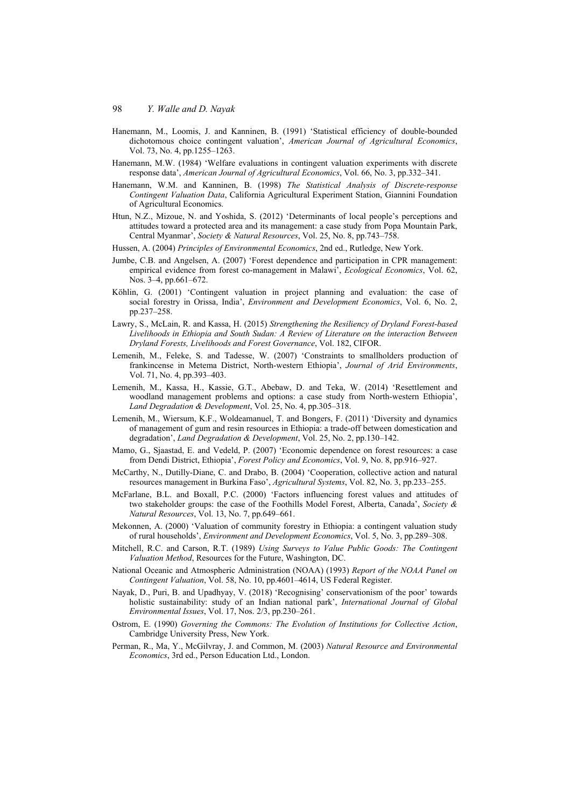- Hanemann, M., Loomis, J. and Kanninen, B. (1991) 'Statistical efficiency of double-bounded dichotomous choice contingent valuation', *American Journal of Agricultural Economics*, Vol. 73, No. 4, pp.1255–1263.
- Hanemann, M.W. (1984) 'Welfare evaluations in contingent valuation experiments with discrete response data', *American Journal of Agricultural Economics*, Vol. 66, No. 3, pp.332–341.
- Hanemann, W.M. and Kanninen, B. (1998) *The Statistical Analysis of Discrete-response Contingent Valuation Data*, California Agricultural Experiment Station, Giannini Foundation of Agricultural Economics.
- Htun, N.Z., Mizoue, N. and Yoshida, S. (2012) 'Determinants of local people's perceptions and attitudes toward a protected area and its management: a case study from Popa Mountain Park, Central Myanmar', *Society & Natural Resources*, Vol. 25, No. 8, pp.743–758.
- Hussen, A. (2004) *Principles of Environmental Economics*, 2nd ed., Rutledge, New York.
- Jumbe, C.B. and Angelsen, A. (2007) 'Forest dependence and participation in CPR management: empirical evidence from forest co-management in Malawi', *Ecological Economics*, Vol. 62, Nos. 3–4, pp.661–672.
- Köhlin, G. (2001) 'Contingent valuation in project planning and evaluation: the case of social forestry in Orissa, India', *Environment and Development Economics*, Vol. 6, No. 2, pp.237–258.
- Lawry, S., McLain, R. and Kassa, H. (2015) *Strengthening the Resiliency of Dryland Forest-based Livelihoods in Ethiopia and South Sudan: A Review of Literature on the interaction Between Dryland Forests, Livelihoods and Forest Governance*, Vol. 182, CIFOR.
- Lemenih, M., Feleke, S. and Tadesse, W. (2007) 'Constraints to smallholders production of frankincense in Metema District, North-western Ethiopia', *Journal of Arid Environments*, Vol. 71, No. 4, pp.393–403.
- Lemenih, M., Kassa, H., Kassie, G.T., Abebaw, D. and Teka, W. (2014) 'Resettlement and woodland management problems and options: a case study from North-western Ethiopia', *Land Degradation & Development*, Vol. 25, No. 4, pp.305–318.
- Lemenih, M., Wiersum, K.F., Woldeamanuel, T. and Bongers, F. (2011) 'Diversity and dynamics of management of gum and resin resources in Ethiopia: a trade-off between domestication and degradation', *Land Degradation & Development*, Vol. 25, No. 2, pp.130–142.
- Mamo, G., Sjaastad, E. and Vedeld, P. (2007) 'Economic dependence on forest resources: a case from Dendi District, Ethiopia', *Forest Policy and Economics*, Vol. 9, No. 8, pp.916–927.
- McCarthy, N., Dutilly-Diane, C. and Drabo, B. (2004) 'Cooperation, collective action and natural resources management in Burkina Faso', *Agricultural Systems*, Vol. 82, No. 3, pp.233–255.
- McFarlane, B.L. and Boxall, P.C. (2000) 'Factors influencing forest values and attitudes of two stakeholder groups: the case of the Foothills Model Forest, Alberta, Canada', *Society & Natural Resources*, Vol. 13, No. 7, pp.649–661.
- Mekonnen, A. (2000) 'Valuation of community forestry in Ethiopia: a contingent valuation study of rural households', *Environment and Development Economics*, Vol. 5, No. 3, pp.289–308.
- Mitchell, R.C. and Carson, R.T. (1989) *Using Surveys to Value Public Goods: The Contingent Valuation Method*, Resources for the Future, Washington, DC.
- National Oceanic and Atmospheric Administration (NOAA) (1993) *Report of the NOAA Panel on Contingent Valuation*, Vol. 58, No. 10, pp.4601–4614, US Federal Register.
- Nayak, D., Puri, B. and Upadhyay, V. (2018) 'Recognising' conservationism of the poor' towards holistic sustainability: study of an Indian national park', *International Journal of Global Environmental Issues*, Vol. 17, Nos. 2/3, pp.230–261.
- Ostrom, E. (1990) *Governing the Commons: The Evolution of Institutions for Collective Action*, Cambridge University Press, New York.
- Perman, R., Ma, Y., McGilvray, J. and Common, M. (2003) *Natural Resource and Environmental Economics*, 3rd ed., Person Education Ltd., London.